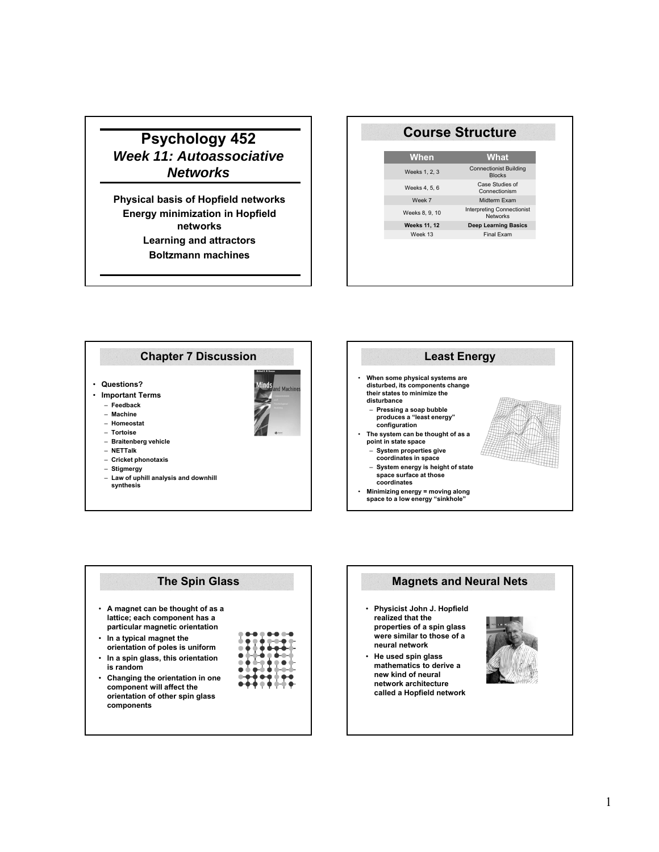# **Psychology 452** *Week 11: Autoassociative Networks*

**Physical basis of Hopfield networks Energy minimization in Hopfield networks Learning and attractors Boltzmann machines**

| <b>Course Structure</b> |                                                      |  |
|-------------------------|------------------------------------------------------|--|
| When                    | What                                                 |  |
| Weeks 1, 2, 3           | <b>Connectionist Building</b><br><b>Blocks</b>       |  |
| Weeks 4, 5, 6           | Case Studies of<br>Connectionism                     |  |
| Week 7                  | Midterm Exam                                         |  |
| Weeks 8, 9, 10          | <b>Interpreting Connectionist</b><br><b>Networks</b> |  |
| <b>Weeks 11, 12</b>     | <b>Deep Learning Basics</b>                          |  |
| Week 13                 | Final Exam                                           |  |



| <b>The Spin Glass</b>                                                                                           |
|-----------------------------------------------------------------------------------------------------------------|
| • A magnet can be thought of as a<br>lattice; each component has a<br>particular magnetic orientation           |
| $\cdot$ In a typical magnet the<br>orientation of poles is uniform<br>• In a spin glass, this orientation       |
| is random                                                                                                       |
| • Changing the orientation in one<br>component will affect the<br>orientation of other spin glass<br>components |

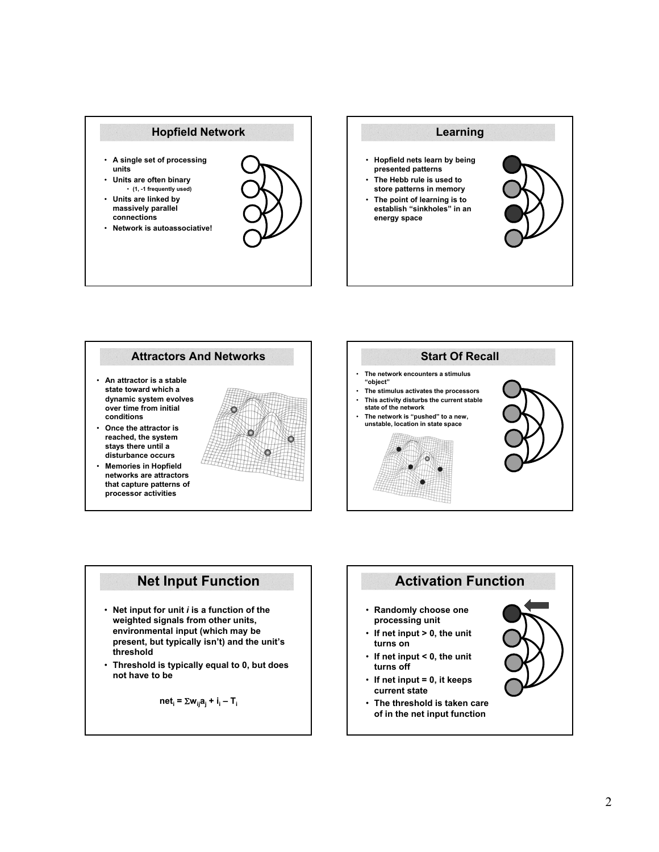





- **Net input for unit** *i* **is a function of the weighted signals from other units, environmental input (which may be present, but typically isn't) and the unit's threshold**
- **Threshold is typically equal to 0, but does not have to be**

$$
net_i = \sum w_{ij} a_j + i_i - T_i
$$

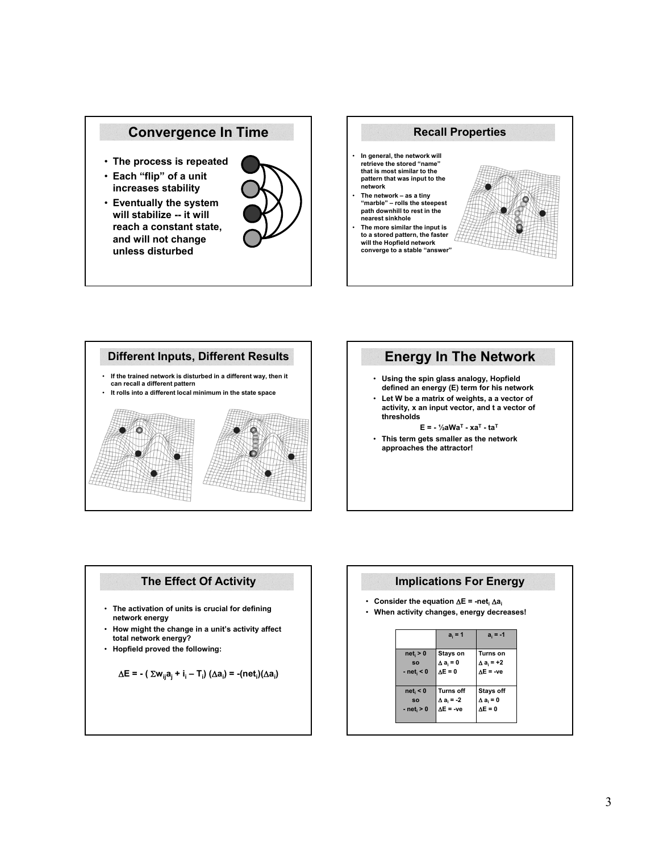## **Convergence In Time**

- **The process is repeated**
- **Each "flip" of a unit increases stability**
- **Eventually the system will stabilize -- it will reach a constant state, and will not change unless disturbed**







# **Energy In The Network**

- **Using the spin glass analogy, Hopfield defined an energy (E) term for his network**
- **Let W be a matrix of weights, a a vector of activity, x an input vector, and t a vector of thresholds**
	- **E = ½aWaT xaT taT**
- **This term gets smaller as the network approaches the attractor!**

## **The Effect Of Activity**

- **The activation of units is crucial for defining network energy**
- **How might the change in a unit's activity affect total network energy?**
- **Hopfield proved the following:**

$$
\Delta E = - \left( \sum w_{ij} a_j + i_i - T_i \right) (\Delta a_i) = -(\text{net}_i)(\Delta a_i)
$$

### **Implications For Energy**

- **Consider the equation**  $\Delta E = -net_i \Delta a_i$ <br>• When activity changes, energy decreased
- **When activity changes, energy decreases!**

|                | $a_i = 1$                             | $a_i = -1$                       |
|----------------|---------------------------------------|----------------------------------|
| $net_i > 0$    | Stays on                              | <b>Turns on</b>                  |
| <b>SO</b>      | $\Delta a_i = 0$                      | Δa <sub>i</sub> = +2<br>ΔE = -ve |
| $- neti < 0$   | $\Delta E = 0$                        |                                  |
| $net_i < 0$    | <b>Turns off</b>                      | <b>Stays off</b>                 |
| <b>SO</b>      |                                       | $\Delta a_i = 0$                 |
| $-$ net, $> 0$ | $\Delta a_i = -2$<br>$\Delta E = -ve$ | $\Delta E = 0$                   |
|                |                                       |                                  |